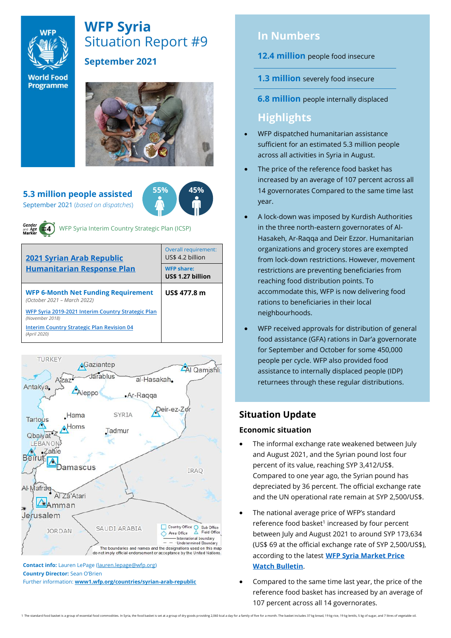

# **WFP Syria** Situation Report #9

# **September 2021**

**World Food** Programme

**5.3 million people assisted** September 2021 (*based on dispatches*)



WFP Syria Interim Country Strategic Plan (ICSP)

| <b>2021 Syrian Arab Republic</b><br><b>Humanitarian Response Plan</b>     | Overall requirement:<br>US\$ 4.2 billion |  |  |
|---------------------------------------------------------------------------|------------------------------------------|--|--|
|                                                                           | <b>WFP share:</b><br>US\$ 1.27 billion   |  |  |
| <b>WFP 6-Month Net Funding Requirement</b><br>(October 2021 - March 2022) | US\$ 477.8 m                             |  |  |
| WFP Syria 2019-2021 Interim Country Strategic Plan<br>(November 2018)     |                                          |  |  |
| <b>Interim Country Strategic Plan Revision 04</b><br>(April 2020)         |                                          |  |  |



**Contact info:** Lauren LePage [\(lauren.lepage@wfp.org\)](mailto:lauren.lepage@wfp.org) **Country Director:** Sean O'Brien

Further information: **[www1.wfp.org/countries/syrian-arab-republic](file:///C:/Users/lauren.lepage/AppData/Local/Microsoft/Windows/INetCache/Content.Outlook/HTRVWXQN/www1.wfp.org/countries/syrian-arab-republic)**

# **In Numbers**

**12.4 million** people food insecure

- **1.3 million** severely food insecure
- **6.8 million** people internally displaced

# **Highlights**

- WFP dispatched humanitarian assistance sufficient for an estimated 5.3 million people across all activities in Syria in August.
- The price of the reference food basket has increased by an average of 107 percent across all 14 governorates Compared to the same time last year.
- A lock-down was imposed by Kurdish Authorities in the three north-eastern governorates of Al-Hasakeh, Ar-Raqqa and Deir Ezzor. Humanitarian organizations and grocery stores are exempted from lock-down restrictions. However, movement restrictions are preventing beneficiaries from reaching food distribution points. To accommodate this, WFP is now delivering food rations to beneficiaries in their local neighbourhoods.
- WFP received approvals for distribution of general food assistance (GFA) rations in Dar'a governorate for September and October for some 450,000 people per cycle. WFP also provided food assistance to internally displaced people (IDP) returnees through these regular distributions.

# **Situation Update**

# **Economic situation**

- The informal exchange rate weakened between July and August 2021, and the Syrian pound lost four percent of its value, reaching SYP 3,412/US\$. Compared to one year ago, the Syrian pound has depreciated by 36 percent. The official exchange rate and the UN operational rate remain at SYP 2,500/US\$.
- The national average price of WFP's standard reference food basket<sup>1</sup> increased by four percent between July and August 2021 to around SYP 173,634 (US\$ 69 at the official exchange rate of SYP 2,500/US\$), according to the latest **[WFP Syria Market Price](https://docs.wfp.org/api/documents/WFP-0000132126/download/)  [Watch Bulletin](https://docs.wfp.org/api/documents/WFP-0000132126/download/)**.
- Compared to the same time last year, the price of the reference food basket has increased by an average of 107 percent across all 14 governorates.

1 The standard food basket is a group of essential food commodities. In Syria, the food basket is set at a group of dry goods providing 2,060 kcal a day for a family of five for a month. The basket indudes 37 kg bread, 19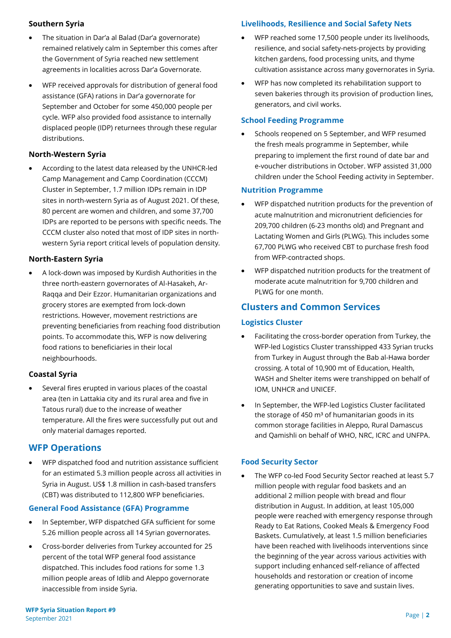#### **Southern Syria**

- The situation in Dar'a al Balad (Dar'a governorate) remained relatively calm in September this comes after the Government of Syria reached new settlement agreements in localities across Dar'a Governorate.
- WFP received approvals for distribution of general food assistance (GFA) rations in Dar'a governorate for September and October for some 450,000 people per cycle. WFP also provided food assistance to internally displaced people (IDP) returnees through these regular distributions.

### **North-Western Syria**

• According to the latest data released by the UNHCR-led Camp Management and Camp Coordination (CCCM) Cluster in September, 1.7 million IDPs remain in IDP sites in north-western Syria as of August 2021. Of these, 80 percent are women and children, and some 37,700 IDPs are reported to be persons with specific needs. The CCCM cluster also noted that most of IDP sites in northwestern Syria report critical levels of population density.

### **North-Eastern Syria**

• A lock-down was imposed by Kurdish Authorities in the three north-eastern governorates of Al-Hasakeh, Ar-Raqqa and Deir Ezzor. Humanitarian organizations and grocery stores are exempted from lock-down restrictions. However, movement restrictions are preventing beneficiaries from reaching food distribution points. To accommodate this, WFP is now delivering food rations to beneficiaries in their local neighbourhoods.

### **Coastal Syria**

• Several fires erupted in various places of the coastal area (ten in Lattakia city and its rural area and five in Tatous rural) due to the increase of weather temperature. All the fires were successfully put out and only material damages reported.

# **WFP Operations**

• WFP dispatched food and nutrition assistance sufficient for an estimated 5.3 million people across all activities in Syria in August. US\$ 1.8 million in cash-based transfers (CBT) was distributed to 112,800 WFP beneficiaries.

#### **General Food Assistance (GFA) Programme**

- In September, WFP dispatched GFA sufficient for some 5.26 million people across all 14 Syrian governorates.
- Cross-border deliveries from Turkey accounted for 25 percent of the total WFP general food assistance dispatched. This includes food rations for some 1.3 million people areas of Idlib and Aleppo governorate inaccessible from inside Syria.

# **Livelihoods, Resilience and Social Safety Nets**

- WFP reached some 17,500 people under its livelihoods, resilience, and social safety-nets-projects by providing kitchen gardens, food processing units, and thyme cultivation assistance across many governorates in Syria.
- WFP has now completed its rehabilitation support to seven bakeries through its provision of production lines, generators, and civil works.

# **School Feeding Programme**

• Schools reopened on 5 September, and WFP resumed the fresh meals programme in September, while preparing to implement the first round of date bar and e-voucher distributions in October. WFP assisted 31,000 children under the School Feeding activity in September.

# **Nutrition Programme**

- WFP dispatched nutrition products for the prevention of acute malnutrition and micronutrient deficiencies for 209,700 children (6-23 months old) and Pregnant and Lactating Women and Girls (PLWG). This includes some 67,700 PLWG who received CBT to purchase fresh food from WFP-contracted shops.
- WFP dispatched nutrition products for the treatment of moderate acute malnutrition for 9,700 children and PLWG for one month.

# **Clusters and Common Services**

# **Logistics Cluster**

- Facilitating the cross-border operation from Turkey, the WFP-led Logistics Cluster transshipped 433 Syrian trucks from Turkey in August through the Bab al-Hawa border crossing. A total of 10,900 mt of Education, Health, WASH and Shelter items were transhipped on behalf of IOM, UNHCR and UNICEF.
- In September, the WFP-led Logistics Cluster facilitated the storage of 450  $m<sup>3</sup>$  of humanitarian goods in its common storage facilities in Aleppo, Rural Damascus and Qamishli on behalf of WHO, NRC, ICRC and UNFPA.

# **Food Security Sector**

The WFP co-led Food Security Sector reached at least 5.7 million people with regular food baskets and an additional 2 million people with bread and flour distribution in August. In addition, at least 105,000 people were reached with emergency response through Ready to Eat Rations, Cooked Meals & Emergency Food Baskets. Cumulatively, at least 1.5 million beneficiaries have been reached with livelihoods interventions since the beginning of the year across various activities with support including enhanced self-reliance of affected households and restoration or creation of income generating opportunities to save and sustain lives.